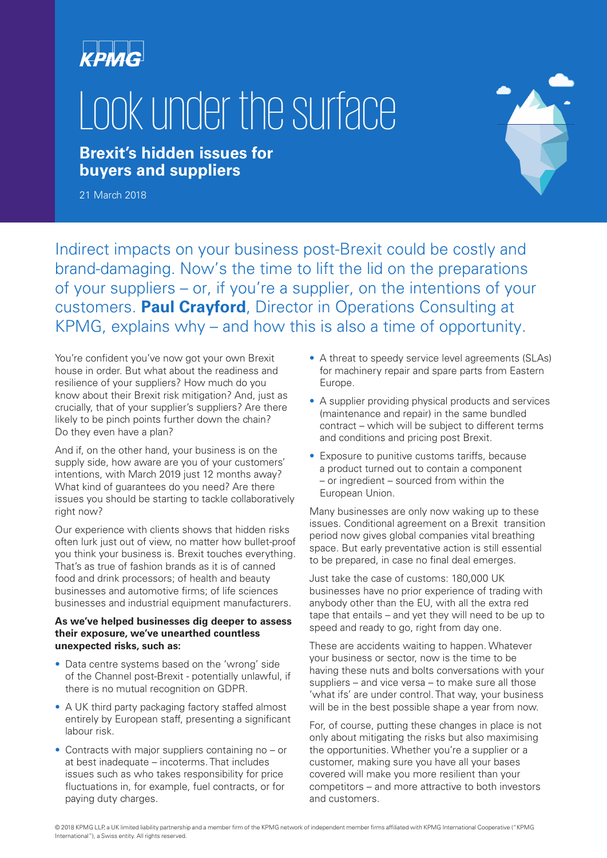

# Look under the surface

**Brexit's hidden issues for buyers and suppliers**



21 March 2018

Indirect impacts on your business post-Brexit could be costly and brand-damaging. Now's the time to lift the lid on the preparations of your suppliers – or, if you're a supplier, on the intentions of your customers. **Paul Crayford**, Director in Operations Consulting at KPMG, explains why – and how this is also a time of opportunity.

You're confident you've now got your own Brexit house in order. But what about the readiness and resilience of your suppliers? How much do you know about their Brexit risk mitigation? And, just as crucially, that of your supplier's suppliers? Are there likely to be pinch points further down the chain? Do they even have a plan?

And if, on the other hand, your business is on the supply side, how aware are you of your customers' intentions, with March 2019 just 12 months away? What kind of guarantees do you need? Are there issues you should be starting to tackle collaboratively right now?

Our experience with clients shows that hidden risks often lurk just out of view, no matter how bullet-proof you think your business is. Brexit touches everything. That's as true of fashion brands as it is of canned food and drink processors; of health and beauty businesses and automotive firms; of life sciences businesses and industrial equipment manufacturers.

#### **As we've helped businesses dig deeper to assess their exposure, we've unearthed countless unexpected risks, such as:**

- Data centre systems based on the 'wrong' side of the Channel post-Brexit - potentially unlawful, if there is no mutual recognition on GDPR.
- A UK third party packaging factory staffed almost entirely by European staff, presenting a significant labour risk.
- Contracts with major suppliers containing no or at best inadequate – incoterms. That includes issues such as who takes responsibility for price fluctuations in, for example, fuel contracts, or for paying duty charges.
- A threat to speedy service level agreements (SLAs) for machinery repair and spare parts from Eastern Europe.
- A supplier providing physical products and services (maintenance and repair) in the same bundled contract – which will be subject to different terms and conditions and pricing post Brexit.
- Exposure to punitive customs tariffs, because a product turned out to contain a component – or ingredient – sourced from within the European Union.

Many businesses are only now waking up to these issues. Conditional agreement on a Brexit transition period now gives global companies vital breathing space. But early preventative action is still essential to be prepared, in case no final deal emerges.

Just take the case of customs: 180,000 UK businesses have no prior experience of trading with anybody other than the EU, with all the extra red tape that entails – and yet they will need to be up to speed and ready to go, right from day one.

These are accidents waiting to happen. Whatever your business or sector, now is the time to be having these nuts and bolts conversations with your suppliers – and vice versa – to make sure all those 'what ifs' are under control. That way, your business will be in the best possible shape a year from now.

For, of course, putting these changes in place is not only about mitigating the risks but also maximising the opportunities. Whether you're a supplier or a customer, making sure you have all your bases covered will make you more resilient than your competitors – and more attractive to both investors and customers.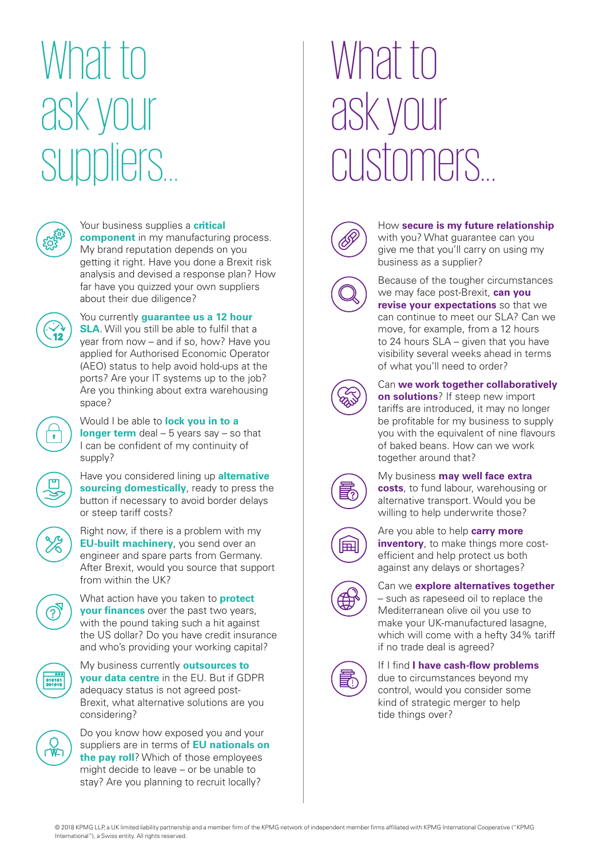## What to ask your suppliers...



#### Your business supplies a **critical**

**component** in my manufacturing process. My brand reputation depends on you getting it right. Have you done a Brexit risk analysis and devised a response plan? How far have you quizzed your own suppliers about their due diligence?

You currently **guarantee us a 12 hour SLA**. Will you still be able to fulfil that a year from now – and if so, how? Have you applied for Authorised Economic Operator (AEO) status to help avoid hold-ups at the ports? Are your IT systems up to the job? Are you thinking about extra warehousing space?



Would I be able to **lock you in to a longer term** deal – 5 years say – so that I can be confident of my continuity of supply?

Have you considered lining up **alternative sourcing domestically**, ready to press the button if necessary to avoid border delays or steep tariff costs?

Right now, if there is a problem with my **EU-built machinery**, you send over an engineer and spare parts from Germany. After Brexit, would you source that support from within the UK?



010101<br>001010

What action have you taken to **protect your finances** over the past two years, with the pound taking such a hit against the US dollar? Do you have credit insurance and who's providing your working capital?

My business currently **outsources to your data centre** in the EU. But if GDPR adequacy status is not agreed post-Brexit, what alternative solutions are you considering?



Do you know how exposed you and your suppliers are in terms of **EU nationals on the pay roll**? Which of those employees might decide to leave – or be unable to stay? Are you planning to recruit locally?

### What to ask your customers...



### How **secure is my future relationship** with you? What guarantee can you give me that you'll carry on using my business as a supplier?



Because of the tougher circumstances we may face post-Brexit, **can you revise your expectations** so that we can continue to meet our SLA? Can we move, for example, from a 12 hours to 24 hours SLA – given that you have visibility several weeks ahead in terms of what you'll need to order?



Can **we work together collaboratively on solutions**? If steep new import tariffs are introduced, it may no longer be profitable for my business to supply you with the equivalent of nine flavours of baked beans. How can we work together around that?



My business **may well face extra costs**, to fund labour, warehousing or alternative transport. Would you be willing to help underwrite those?



Are you able to help **carry more inventory**, to make things more costefficient and help protect us both against any delays or shortages?



### Can we **explore alternatives together**

– such as rapeseed oil to replace the Mediterranean olive oil you use to make your UK-manufactured lasagne, which will come with a hefty 34% tariff if no trade deal is agreed?



If I find **I have cash-flow problems**

due to circumstances beyond my control, would you consider some kind of strategic merger to help tide things over?